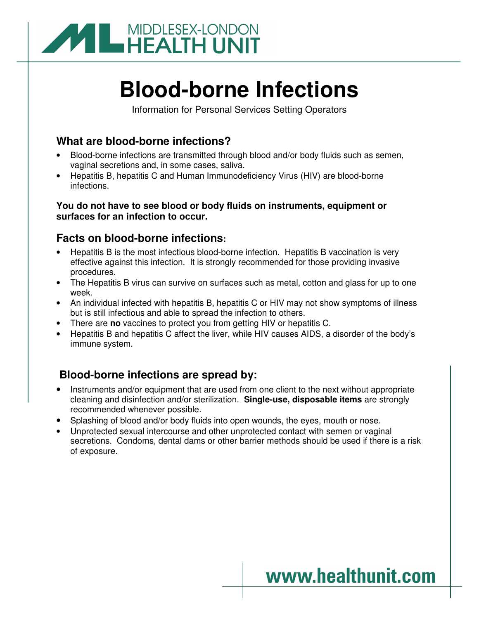

# **Blood-borne Infections**

Information for Personal Services Setting Operators

#### **What are blood-borne infections?**

- Blood-borne infections are transmitted through blood and/or body fluids such as semen, vaginal secretions and, in some cases, saliva.
- Hepatitis B, hepatitis C and Human Immunodeficiency Virus (HIV) are blood-borne infections.

#### **You do not have to see blood or body fluids on instruments, equipment or surfaces for an infection to occur.**

## **Facts on blood-borne infections:**

- Hepatitis B is the most infectious blood-borne infection. Hepatitis B vaccination is very effective against this infection. It is strongly recommended for those providing invasive procedures.
- The Hepatitis B virus can survive on surfaces such as metal, cotton and glass for up to one week.
- An individual infected with hepatitis B, hepatitis C or HIV may not show symptoms of illness but is still infectious and able to spread the infection to others.
- There are **no** vaccines to protect you from getting HIV or hepatitis C.
- Hepatitis B and hepatitis C affect the liver, while HIV causes AIDS, a disorder of the body's immune system.

## **Blood-borne infections are spread by:**

- Instruments and/or equipment that are used from one client to the next without appropriate cleaning and disinfection and/or sterilization. **Single-use, disposable items** are strongly recommended whenever possible.
- Splashing of blood and/or body fluids into open wounds, the eyes, mouth or nose.
- Unprotected sexual intercourse and other unprotected contact with semen or vaginal secretions. Condoms, dental dams or other barrier methods should be used if there is a risk of exposure.

## www.healthunit.com